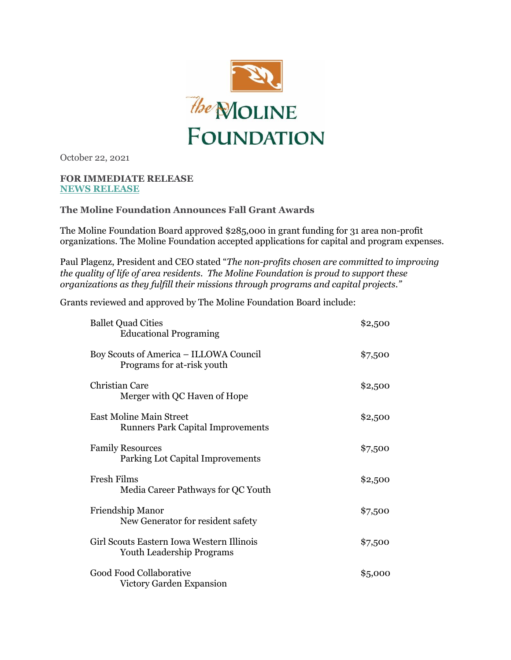

October 22, 2021

## **FOR IMMEDIATE RELEASE [NEWS RELEASE](https://app.constantcontact.com/pages/campaigns/email-details/details/activity/3be4e4d3-2325-4fd7-9770-196fb9306f23)**

## **The Moline Foundation Announces Fall Grant Awards**

The Moline Foundation Board approved \$285,000 in grant funding for 31 area non-profit organizations. The Moline Foundation accepted applications for capital and program expenses.

Paul Plagenz, President and CEO stated "*The non-profits chosen are committed to improving the quality of life of area residents. The Moline Foundation is proud to support these organizations as they fulfill their missions through programs and capital projects."* 

Grants reviewed and approved by The Moline Foundation Board include:

| <b>Ballet Quad Cities</b><br><b>Educational Programing</b>                    | \$2,500 |
|-------------------------------------------------------------------------------|---------|
| Boy Scouts of America - ILLOWA Council<br>Programs for at-risk youth          | \$7,500 |
| <b>Christian Care</b><br>Merger with QC Haven of Hope                         | \$2,500 |
| <b>East Moline Main Street</b><br><b>Runners Park Capital Improvements</b>    | \$2,500 |
| <b>Family Resources</b><br>Parking Lot Capital Improvements                   | \$7,500 |
| Fresh Films<br>Media Career Pathways for QC Youth                             | \$2,500 |
| Friendship Manor<br>New Generator for resident safety                         | \$7,500 |
| Girl Scouts Eastern Iowa Western Illinois<br><b>Youth Leadership Programs</b> | \$7,500 |
| Good Food Collaborative<br>Victory Garden Expansion                           | \$5,000 |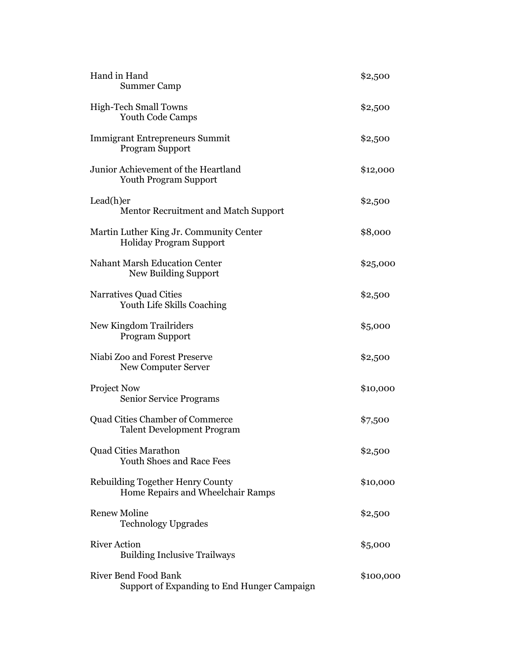| Hand in Hand<br><b>Summer Camp</b>                                          | \$2,500   |
|-----------------------------------------------------------------------------|-----------|
| <b>High-Tech Small Towns</b><br>Youth Code Camps                            | \$2,500   |
| <b>Immigrant Entrepreneurs Summit</b><br><b>Program Support</b>             | \$2,500   |
| Junior Achievement of the Heartland<br><b>Youth Program Support</b>         | \$12,000  |
| Lead(h)er<br>Mentor Recruitment and Match Support                           | \$2,500   |
| Martin Luther King Jr. Community Center<br><b>Holiday Program Support</b>   | \$8,000   |
| <b>Nahant Marsh Education Center</b><br>New Building Support                | \$25,000  |
| <b>Narratives Quad Cities</b><br>Youth Life Skills Coaching                 | \$2,500   |
| New Kingdom Trailriders<br><b>Program Support</b>                           | \$5,000   |
| Niabi Zoo and Forest Preserve<br>New Computer Server                        | \$2,500   |
| <b>Project Now</b><br><b>Senior Service Programs</b>                        | \$10,000  |
| <b>Quad Cities Chamber of Commerce</b><br><b>Talent Development Program</b> | \$7,500   |
| <b>Quad Cities Marathon</b><br><b>Youth Shoes and Race Fees</b>             | \$2,500   |
| Rebuilding Together Henry County<br>Home Repairs and Wheelchair Ramps       | \$10,000  |
| <b>Renew Moline</b><br><b>Technology Upgrades</b>                           | \$2,500   |
| <b>River Action</b><br><b>Building Inclusive Trailways</b>                  | \$5,000   |
| <b>River Bend Food Bank</b><br>Support of Expanding to End Hunger Campaign  | \$100,000 |